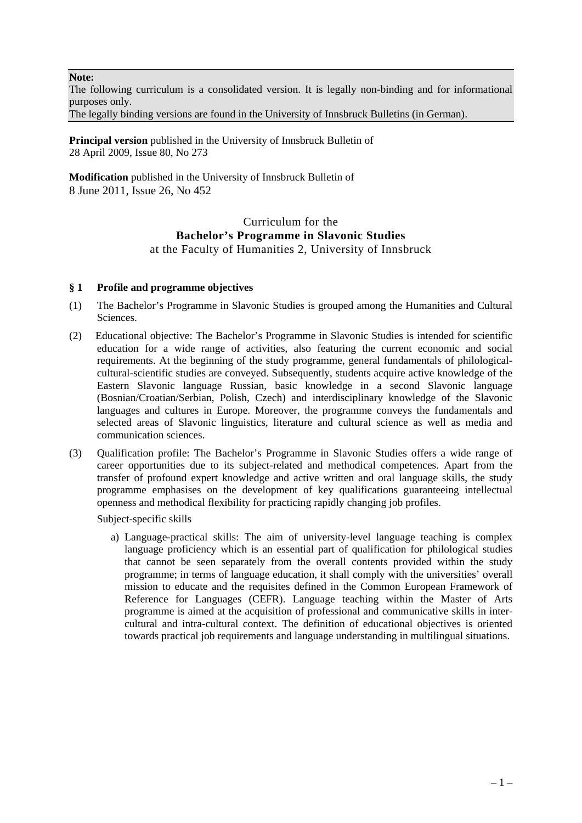**Note:**

The following curriculum is a consolidated version. It is legally non-binding and for informational purposes only.

The legally binding versions are found in the University of Innsbruck Bulletins (in German).

**Principal version** published in the University of Innsbruck Bulletin of 28 April 2009, Issue 80, No 273

**Modification** published in the University of Innsbruck Bulletin of 8 June 2011, Issue 26, No 452

### Curriculum for the **Bachelor's Programme in Slavonic Studies**  at the Faculty of Humanities 2, University of Innsbruck

### **§ 1 Profile and programme objectives**

- (1) The Bachelor's Programme in Slavonic Studies is grouped among the Humanities and Cultural Sciences.
- (2) Educational objective: The Bachelor's Programme in Slavonic Studies is intended for scientific education for a wide range of activities, also featuring the current economic and social requirements. At the beginning of the study programme, general fundamentals of philologicalcultural-scientific studies are conveyed. Subsequently, students acquire active knowledge of the Eastern Slavonic language Russian, basic knowledge in a second Slavonic language (Bosnian/Croatian/Serbian, Polish, Czech) and interdisciplinary knowledge of the Slavonic languages and cultures in Europe. Moreover, the programme conveys the fundamentals and selected areas of Slavonic linguistics, literature and cultural science as well as media and communication sciences.
- (3) Qualification profile: The Bachelor's Programme in Slavonic Studies offers a wide range of career opportunities due to its subject-related and methodical competences. Apart from the transfer of profound expert knowledge and active written and oral language skills, the study programme emphasises on the development of key qualifications guaranteeing intellectual openness and methodical flexibility for practicing rapidly changing job profiles.

Subject-specific skills

a) Language-practical skills: The aim of university-level language teaching is complex language proficiency which is an essential part of qualification for philological studies that cannot be seen separately from the overall contents provided within the study programme; in terms of language education, it shall comply with the universities' overall mission to educate and the requisites defined in the Common European Framework of Reference for Languages (CEFR). Language teaching within the Master of Arts programme is aimed at the acquisition of professional and communicative skills in intercultural and intra-cultural context. The definition of educational objectives is oriented towards practical job requirements and language understanding in multilingual situations.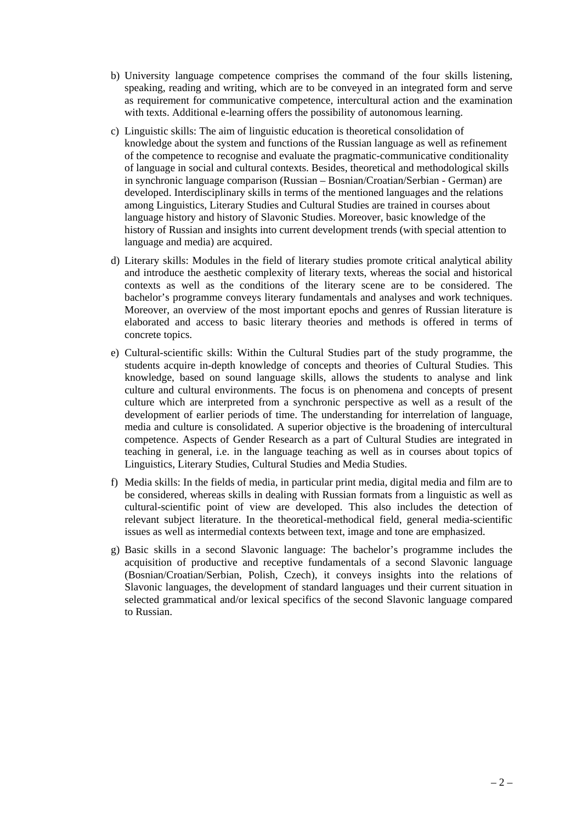- b) University language competence comprises the command of the four skills listening, speaking, reading and writing, which are to be conveyed in an integrated form and serve as requirement for communicative competence, intercultural action and the examination with texts. Additional e-learning offers the possibility of autonomous learning.
- c) Linguistic skills: The aim of linguistic education is theoretical consolidation of knowledge about the system and functions of the Russian language as well as refinement of the competence to recognise and evaluate the pragmatic-communicative conditionality of language in social and cultural contexts. Besides, theoretical and methodological skills in synchronic language comparison (Russian – Bosnian/Croatian/Serbian - German) are developed. Interdisciplinary skills in terms of the mentioned languages and the relations among Linguistics, Literary Studies and Cultural Studies are trained in courses about language history and history of Slavonic Studies. Moreover, basic knowledge of the history of Russian and insights into current development trends (with special attention to language and media) are acquired.
- d) Literary skills: Modules in the field of literary studies promote critical analytical ability and introduce the aesthetic complexity of literary texts, whereas the social and historical contexts as well as the conditions of the literary scene are to be considered. The bachelor's programme conveys literary fundamentals and analyses and work techniques. Moreover, an overview of the most important epochs and genres of Russian literature is elaborated and access to basic literary theories and methods is offered in terms of concrete topics.
- e) Cultural-scientific skills: Within the Cultural Studies part of the study programme, the students acquire in-depth knowledge of concepts and theories of Cultural Studies. This knowledge, based on sound language skills, allows the students to analyse and link culture and cultural environments. The focus is on phenomena and concepts of present culture which are interpreted from a synchronic perspective as well as a result of the development of earlier periods of time. The understanding for interrelation of language, media and culture is consolidated. A superior objective is the broadening of intercultural competence. Aspects of Gender Research as a part of Cultural Studies are integrated in teaching in general, i.e. in the language teaching as well as in courses about topics of Linguistics, Literary Studies, Cultural Studies and Media Studies.
- f) Media skills: In the fields of media, in particular print media, digital media and film are to be considered, whereas skills in dealing with Russian formats from a linguistic as well as cultural-scientific point of view are developed. This also includes the detection of relevant subject literature. In the theoretical-methodical field, general media-scientific issues as well as intermedial contexts between text, image and tone are emphasized.
- g) Basic skills in a second Slavonic language: The bachelor's programme includes the acquisition of productive and receptive fundamentals of a second Slavonic language (Bosnian/Croatian/Serbian, Polish, Czech), it conveys insights into the relations of Slavonic languages, the development of standard languages und their current situation in selected grammatical and/or lexical specifics of the second Slavonic language compared to Russian.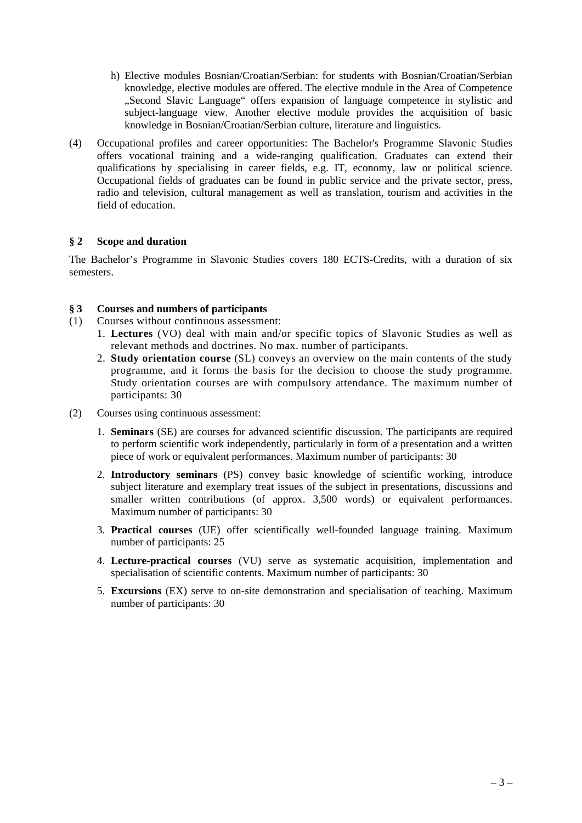- h) Elective modules Bosnian/Croatian/Serbian: for students with Bosnian/Croatian/Serbian knowledge, elective modules are offered. The elective module in the Area of Competence "Second Slavic Language" offers expansion of language competence in stylistic and subject-language view. Another elective module provides the acquisition of basic knowledge in Bosnian/Croatian/Serbian culture, literature and linguistics.
- (4) Occupational profiles and career opportunities: The Bachelor's Programme Slavonic Studies offers vocational training and a wide-ranging qualification. Graduates can extend their qualifications by specialising in career fields, e.g. IT, economy, law or political science. Occupational fields of graduates can be found in public service and the private sector, press, radio and television, cultural management as well as translation, tourism and activities in the field of education.

### **§ 2 Scope and duration**

The Bachelor's Programme in Slavonic Studies covers 180 ECTS-Credits, with a duration of six semesters.

### **§ 3 Courses and numbers of participants**

- (1) Courses without continuous assessment:
	- 1. **Lectures** (VO) deal with main and/or specific topics of Slavonic Studies as well as relevant methods and doctrines. No max. number of participants.
	- 2. **Study orientation course** (SL) conveys an overview on the main contents of the study programme, and it forms the basis for the decision to choose the study programme. Study orientation courses are with compulsory attendance. The maximum number of participants: 30
- (2) Courses using continuous assessment:
	- 1. **Seminars** (SE) are courses for advanced scientific discussion. The participants are required to perform scientific work independently, particularly in form of a presentation and a written piece of work or equivalent performances. Maximum number of participants: 30
	- 2. **Introductory seminars** (PS) convey basic knowledge of scientific working, introduce subject literature and exemplary treat issues of the subject in presentations, discussions and smaller written contributions (of approx. 3,500 words) or equivalent performances. Maximum number of participants: 30
	- 3. **Practical courses** (UE) offer scientifically well-founded language training. Maximum number of participants: 25
	- 4. **Lecture-practical courses** (VU) serve as systematic acquisition, implementation and specialisation of scientific contents. Maximum number of participants: 30
	- 5. **Excursions** (EX) serve to on-site demonstration and specialisation of teaching. Maximum number of participants: 30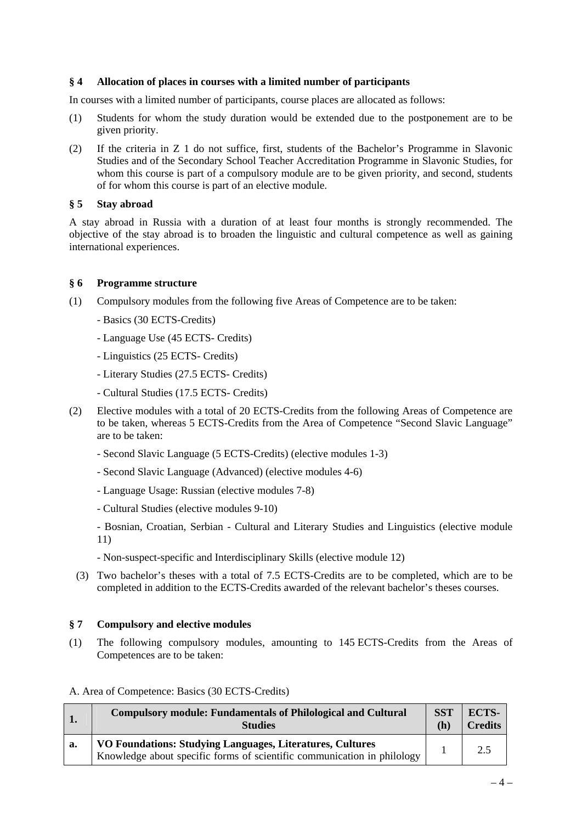### **§ 4 Allocation of places in courses with a limited number of participants**

In courses with a limited number of participants, course places are allocated as follows:

- (1) Students for whom the study duration would be extended due to the postponement are to be given priority.
- (2) If the criteria in Z 1 do not suffice, first, students of the Bachelor's Programme in Slavonic Studies and of the Secondary School Teacher Accreditation Programme in Slavonic Studies, for whom this course is part of a compulsory module are to be given priority, and second, students of for whom this course is part of an elective module.

### **§ 5 Stay abroad**

A stay abroad in Russia with a duration of at least four months is strongly recommended. The objective of the stay abroad is to broaden the linguistic and cultural competence as well as gaining international experiences.

### **§ 6 Programme structure**

- (1) Compulsory modules from the following five Areas of Competence are to be taken:
	- Basics (30 ECTS-Credits)
	- Language Use (45 ECTS- Credits)
	- Linguistics (25 ECTS- Credits)
	- Literary Studies (27.5 ECTS- Credits)
	- Cultural Studies (17.5 ECTS- Credits)
- (2) Elective modules with a total of 20 ECTS-Credits from the following Areas of Competence are to be taken, whereas 5 ECTS-Credits from the Area of Competence "Second Slavic Language" are to be taken:
	- Second Slavic Language (5 ECTS-Credits) (elective modules 1-3)
	- Second Slavic Language (Advanced) (elective modules 4-6)
	- Language Usage: Russian (elective modules 7-8)
	- Cultural Studies (elective modules 9-10)
	- Bosnian, Croatian, Serbian Cultural and Literary Studies and Linguistics (elective module 11)
	- Non-suspect-specific and Interdisciplinary Skills (elective module 12)
	- (3) Two bachelor's theses with a total of 7.5 ECTS-Credits are to be completed, which are to be completed in addition to the ECTS-Credits awarded of the relevant bachelor's theses courses.

### **§ 7 Compulsory and elective modules**

(1) The following compulsory modules, amounting to 145 ECTS-Credits from the Areas of Competences are to be taken:

#### A. Area of Competence: Basics (30 ECTS-Credits)

|    | <b>Compulsory module: Fundamentals of Philological and Cultural</b>                                                                  | <b>SST</b> | ECTS-          |
|----|--------------------------------------------------------------------------------------------------------------------------------------|------------|----------------|
|    | <b>Studies</b>                                                                                                                       | (h)        | <b>Credits</b> |
| a. | VO Foundations: Studying Languages, Literatures, Cultures<br>Knowledge about specific forms of scientific communication in philology |            |                |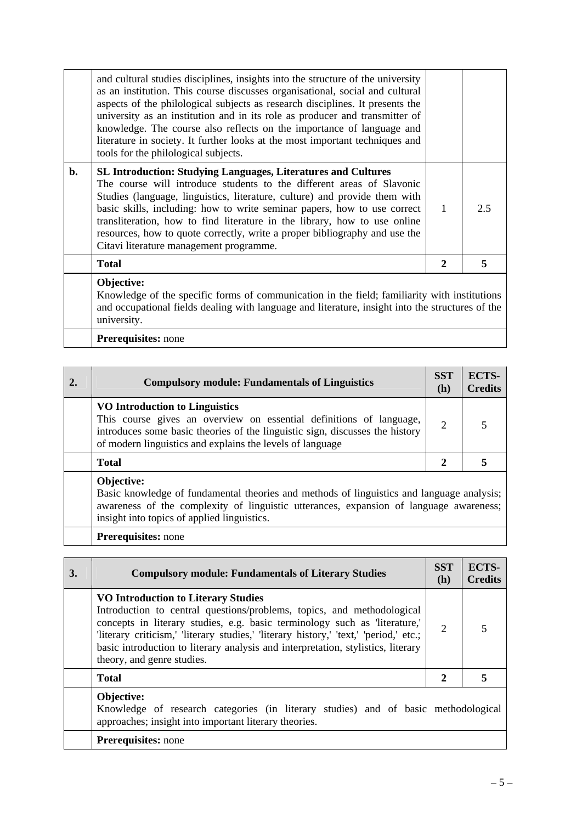|    | Objective:                                                                                                                                                                                                                                                                                                                                                                                                                                                                                                                       |   |     |
|----|----------------------------------------------------------------------------------------------------------------------------------------------------------------------------------------------------------------------------------------------------------------------------------------------------------------------------------------------------------------------------------------------------------------------------------------------------------------------------------------------------------------------------------|---|-----|
|    | <b>Total</b>                                                                                                                                                                                                                                                                                                                                                                                                                                                                                                                     | 2 |     |
| b. | <b>SL Introduction: Studying Languages, Literatures and Cultures</b><br>The course will introduce students to the different areas of Slavonic<br>Studies (language, linguistics, literature, culture) and provide them with<br>basic skills, including: how to write seminar papers, how to use correct<br>transliteration, how to find literature in the library, how to use online<br>resources, how to quote correctly, write a proper bibliography and use the<br>Citavi literature management programme.                    |   | 2.5 |
|    | and cultural studies disciplines, insights into the structure of the university<br>as an institution. This course discusses organisational, social and cultural<br>aspects of the philological subjects as research disciplines. It presents the<br>university as an institution and in its role as producer and transmitter of<br>knowledge. The course also reflects on the importance of language and<br>literature in society. It further looks at the most important techniques and<br>tools for the philological subjects. |   |     |

Knowledge of the specific forms of communication in the field; familiarity with institutions and occupational fields dealing with language and literature, insight into the structures of the university.

**Prerequisites:** none

| 2. | <b>Compulsory module: Fundamentals of Linguistics</b>                                                                                                                                                                                              | <b>SST</b><br>(h) | ECTS-<br><b>Credits</b> |
|----|----------------------------------------------------------------------------------------------------------------------------------------------------------------------------------------------------------------------------------------------------|-------------------|-------------------------|
|    | VO Introduction to Linguistics<br>This course gives an overview on essential definitions of language,<br>introduces some basic theories of the linguistic sign, discusses the history<br>of modern linguistics and explains the levels of language | 2                 |                         |
|    | <b>Total</b>                                                                                                                                                                                                                                       | 2                 |                         |
|    | Objective:<br>Basic knowledge of fundamental theories and methods of linguistics and language analysis;<br>awareness of the complexity of linguistic utterances, expansion of language awareness;<br>insight into topics of applied linguistics.   |                   |                         |

**Prerequisites:** none

| 3. | <b>Compulsory module: Fundamentals of Literary Studies</b>                                                                                                                                                                                                                                                                                                                                                    | <b>SST</b><br>(h) | <b>ECTS-</b><br><b>Credits</b> |
|----|---------------------------------------------------------------------------------------------------------------------------------------------------------------------------------------------------------------------------------------------------------------------------------------------------------------------------------------------------------------------------------------------------------------|-------------------|--------------------------------|
|    | <b>VO Introduction to Literary Studies</b><br>Introduction to central questions/problems, topics, and methodological<br>concepts in literary studies, e.g. basic terminology such as 'literature,'<br>'literary criticism,' 'literary studies,' 'literary history,' 'text,' 'period,' etc.;<br>basic introduction to literary analysis and interpretation, stylistics, literary<br>theory, and genre studies. | $\overline{2}$    |                                |
|    | <b>Total</b>                                                                                                                                                                                                                                                                                                                                                                                                  | 2                 |                                |
|    | Objective:<br>Knowledge of research categories (in literary studies) and of basic methodological<br>approaches; insight into important literary theories.                                                                                                                                                                                                                                                     |                   |                                |
|    | <b>Prerequisites:</b> none                                                                                                                                                                                                                                                                                                                                                                                    |                   |                                |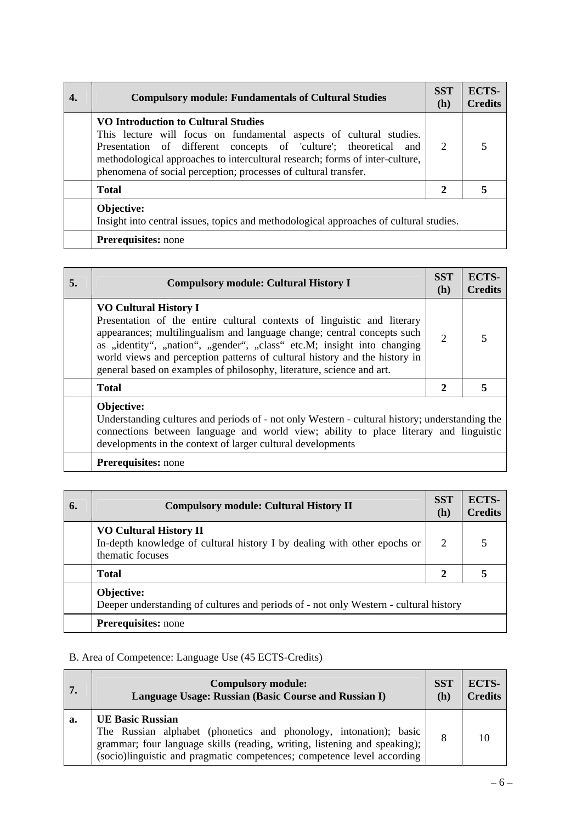| <b>Compulsory module: Fundamentals of Cultural Studies</b>                                                                                                                                                                                                                                                                        | <b>SST</b><br>(h) | ECTS-<br><b>Credits</b> |
|-----------------------------------------------------------------------------------------------------------------------------------------------------------------------------------------------------------------------------------------------------------------------------------------------------------------------------------|-------------------|-------------------------|
| VO Introduction to Cultural Studies<br>This lecture will focus on fundamental aspects of cultural studies.<br>Presentation of different concepts of 'culture'; theoretical and<br>methodological approaches to intercultural research; forms of inter-culture,<br>phenomena of social perception; processes of cultural transfer. | 2                 |                         |
| <b>Total</b>                                                                                                                                                                                                                                                                                                                      | $\mathbf{2}$      |                         |
| Objective:<br>Insight into central issues, topics and methodological approaches of cultural studies.                                                                                                                                                                                                                              |                   |                         |
| <b>Prerequisites:</b> none                                                                                                                                                                                                                                                                                                        |                   |                         |

| 5. | <b>Compulsory module: Cultural History I</b>                                                                                                                                                                                                                                                                                                                                                                         | <b>SST</b><br>(h) | <b>ECTS-</b><br><b>Credits</b> |
|----|----------------------------------------------------------------------------------------------------------------------------------------------------------------------------------------------------------------------------------------------------------------------------------------------------------------------------------------------------------------------------------------------------------------------|-------------------|--------------------------------|
|    | <b>VO Cultural History I</b><br>Presentation of the entire cultural contexts of linguistic and literary<br>appearances; multilingualism and language change; central concepts such<br>as "identity", "nation", "gender", "class" etc.M; insight into changing<br>world views and perception patterns of cultural history and the history in<br>general based on examples of philosophy, literature, science and art. | $\overline{2}$    |                                |
|    | <b>Total</b>                                                                                                                                                                                                                                                                                                                                                                                                         | $\mathbf{2}$      |                                |
|    | Objective:<br>Understanding cultures and periods of - not only Western - cultural history; understanding the<br>connections between language and world view; ability to place literary and linguistic<br>developments in the context of larger cultural developments                                                                                                                                                 |                   |                                |

# **Prerequisites:** none

| 6. | <b>Compulsory module: Cultural History II</b>                                                                                 | <b>SST</b><br>(h) | ECTS-<br><b>Credits</b> |
|----|-------------------------------------------------------------------------------------------------------------------------------|-------------------|-------------------------|
|    | <b>VO Cultural History II</b><br>In-depth knowledge of cultural history I by dealing with other epochs or<br>thematic focuses | 2                 |                         |
|    | <b>Total</b>                                                                                                                  |                   |                         |
|    | Objective:<br>Deeper understanding of cultures and periods of - not only Western - cultural history                           |                   |                         |
|    | <b>Prerequisites:</b> none                                                                                                    |                   |                         |

## B. Area of Competence: Language Use (45 ECTS-Credits)

| 7. | <b>Compulsory module:</b>                                                                                                                                                                                                                              | SST | <b>ECTS-</b>   |
|----|--------------------------------------------------------------------------------------------------------------------------------------------------------------------------------------------------------------------------------------------------------|-----|----------------|
|    | Language Usage: Russian (Basic Course and Russian I)                                                                                                                                                                                                   | (h) | <b>Credits</b> |
| a. | <b>UE Basic Russian</b><br>The Russian alphabet (phonetics and phonology, intonation); basic<br>grammar; four language skills (reading, writing, listening and speaking);  <br>(socio)linguistic and pragmatic competences; competence level according |     |                |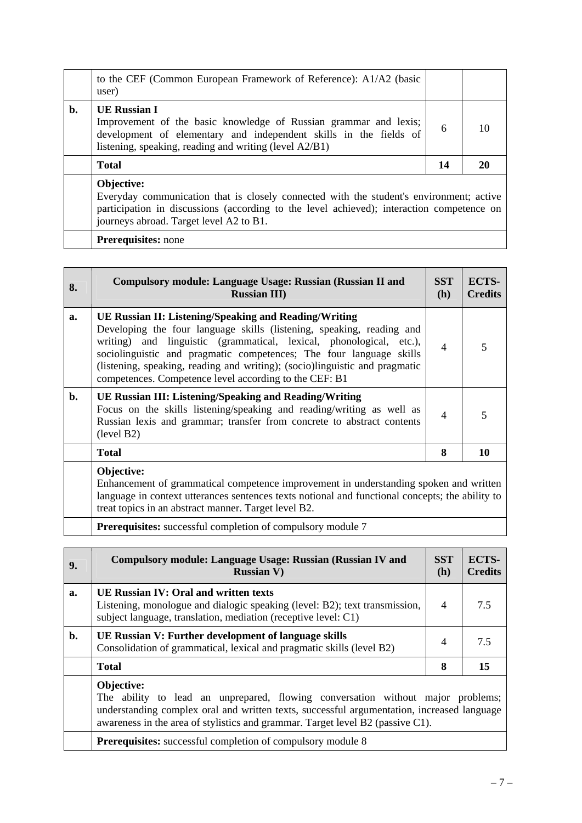|    | to the CEF (Common European Framework of Reference): A1/A2 (basic<br>user)                                                                                                                                                      |    |    |
|----|---------------------------------------------------------------------------------------------------------------------------------------------------------------------------------------------------------------------------------|----|----|
| b. | <b>UE Russian I</b><br>Improvement of the basic knowledge of Russian grammar and lexis;<br>development of elementary and independent skills in the fields of<br>listening, speaking, reading and writing (level A2/B1)          | 6  | 10 |
|    | <b>Total</b>                                                                                                                                                                                                                    | 14 | 20 |
|    | Objective:                                                                                                                                                                                                                      |    |    |
|    | Everyday communication that is closely connected with the student's environment; active<br>participation in discussions (according to the level achieved); interaction competence on<br>journeys abroad. Target level A2 to B1. |    |    |

| 8. | <b>Compulsory module: Language Usage: Russian (Russian II and</b><br><b>Russian III</b> )                                                                                                                                                                                                                                                                                                                                    | <b>SST</b><br><b>(h)</b> | <b>ECTS-</b><br><b>Credits</b> |
|----|------------------------------------------------------------------------------------------------------------------------------------------------------------------------------------------------------------------------------------------------------------------------------------------------------------------------------------------------------------------------------------------------------------------------------|--------------------------|--------------------------------|
| a. | <b>UE Russian II: Listening/Speaking and Reading/Writing</b><br>Developing the four language skills (listening, speaking, reading and<br>writing) and linguistic (grammatical, lexical, phonological, etc.),<br>sociolinguistic and pragmatic competences; The four language skills<br>(listening, speaking, reading and writing); (socio)linguistic and pragmatic<br>competences. Competence level according to the CEF: B1 | $\overline{4}$           |                                |
| b. | UE Russian III: Listening/Speaking and Reading/Writing<br>Focus on the skills listening/speaking and reading/writing as well as<br>Russian lexis and grammar; transfer from concrete to abstract contents<br>(level B2)                                                                                                                                                                                                      | $\overline{\mathcal{A}}$ |                                |
|    | <b>Total</b>                                                                                                                                                                                                                                                                                                                                                                                                                 | 8                        | 10                             |
|    | Objective:<br>Enhancement of grammatical competence improvement in understanding spoken and written<br>language in context utterances sentences texts notional and functional concepts; the ability to                                                                                                                                                                                                                       |                          |                                |

treat topics in an abstract manner. Target level B2.

**Prerequisites:** successful completion of compulsory module 7

| 9. | <b>Compulsory module: Language Usage: Russian (Russian IV and</b><br><b>Russian V)</b>                                                                                                                                                                                        | <b>SST</b><br>(h) | <b>ECTS-</b><br><b>Credits</b> |
|----|-------------------------------------------------------------------------------------------------------------------------------------------------------------------------------------------------------------------------------------------------------------------------------|-------------------|--------------------------------|
| a. | UE Russian IV: Oral and written texts<br>Listening, monologue and dialogic speaking (level: B2); text transmission,<br>subject language, translation, mediation (receptive level: C1)                                                                                         | $\overline{4}$    | 7.5                            |
| b. | UE Russian V: Further development of language skills<br>Consolidation of grammatical, lexical and pragmatic skills (level B2)                                                                                                                                                 | $\overline{4}$    | 7.5                            |
|    | <b>Total</b>                                                                                                                                                                                                                                                                  | 8                 | 15                             |
|    | Objective:<br>The ability to lead an unprepared, flowing conversation without major problems;<br>understanding complex oral and written texts, successful argumentation, increased language<br>awareness in the area of stylistics and grammar. Target level B2 (passive C1). |                   |                                |
|    | <b>Prerequisites:</b> successful completion of compulsory module 8                                                                                                                                                                                                            |                   |                                |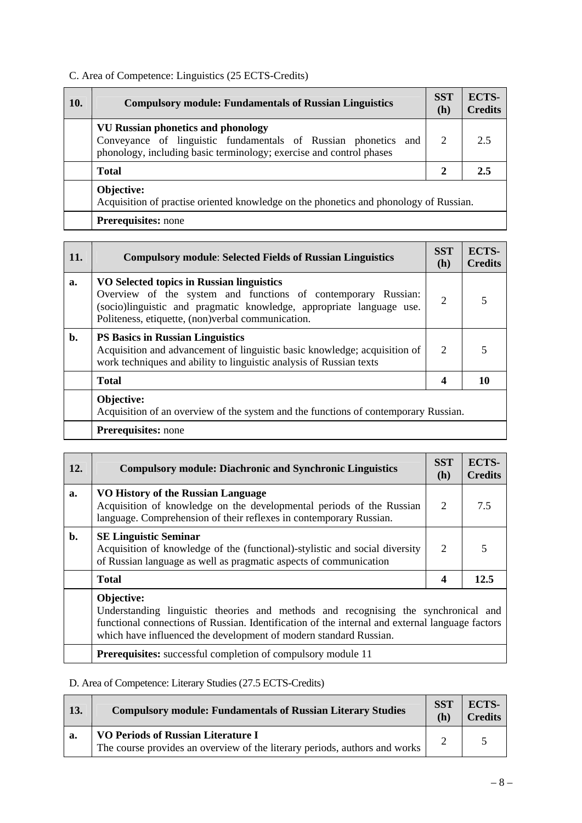# C. Area of Competence: Linguistics (25 ECTS-Credits)

| 10. | <b>Compulsory module: Fundamentals of Russian Linguistics</b>                                                                                                                      | <b>SST</b><br>(h) | ECTS-<br><b>Credits</b> |
|-----|------------------------------------------------------------------------------------------------------------------------------------------------------------------------------------|-------------------|-------------------------|
|     | <b>VU Russian phonetics and phonology</b><br>Conveyance of linguistic fundamentals of Russian phonetics and<br>phonology, including basic terminology; exercise and control phases | 2                 | 2.5                     |
|     | <b>Total</b>                                                                                                                                                                       | $\mathbf{2}$      | 2.5                     |
|     | Objective:<br>Acquisition of practise oriented knowledge on the phonetics and phonology of Russian.                                                                                |                   |                         |
|     | <b>Prerequisites:</b> none                                                                                                                                                         |                   |                         |

| 11.            | <b>Compulsory module: Selected Fields of Russian Linguistics</b>                                                                                                                                                                        | <b>SST</b><br>(h) | <b>ECTS-</b><br><b>Credits</b> |
|----------------|-----------------------------------------------------------------------------------------------------------------------------------------------------------------------------------------------------------------------------------------|-------------------|--------------------------------|
| a.             | VO Selected topics in Russian linguistics<br>Overview of the system and functions of contemporary Russian:<br>(socio)linguistic and pragmatic knowledge, appropriate language use.<br>Politeness, etiquette, (non)verbal communication. | $\overline{2}$    |                                |
| $\mathbf{b}$ . | <b>PS Basics in Russian Linguistics</b><br>Acquisition and advancement of linguistic basic knowledge; acquisition of<br>work techniques and ability to linguistic analysis of Russian texts                                             | 2                 |                                |
|                | <b>Total</b>                                                                                                                                                                                                                            | 4                 | 10                             |
|                | Objective:<br>Acquisition of an overview of the system and the functions of contemporary Russian.                                                                                                                                       |                   |                                |
|                | <b>Prerequisites:</b> none                                                                                                                                                                                                              |                   |                                |

| 12. | <b>Compulsory module: Diachronic and Synchronic Linguistics</b>                                                                                                                                                                                                          | <b>SST</b><br>(h) | <b>ECTS-</b><br><b>Credits</b> |
|-----|--------------------------------------------------------------------------------------------------------------------------------------------------------------------------------------------------------------------------------------------------------------------------|-------------------|--------------------------------|
| a.  | <b>VO History of the Russian Language</b><br>Acquisition of knowledge on the developmental periods of the Russian<br>language. Comprehension of their reflexes in contemporary Russian.                                                                                  | 2                 | 7.5                            |
| b.  | <b>SE Linguistic Seminar</b><br>Acquisition of knowledge of the (functional)-stylistic and social diversity<br>of Russian language as well as pragmatic aspects of communication                                                                                         | 2                 |                                |
|     | <b>Total</b>                                                                                                                                                                                                                                                             | $\boldsymbol{4}$  | 12.5                           |
|     | Objective:<br>Understanding linguistic theories and methods and recognising the synchronical and<br>functional connections of Russian. Identification of the internal and external language factors<br>which have influenced the development of modern standard Russian. |                   |                                |
|     | <b>Prerequisites:</b> successful completion of compulsory module 11                                                                                                                                                                                                      |                   |                                |

# D. Area of Competence: Literary Studies (27.5 ECTS-Credits)

| 13. | <b>Compulsory module: Fundamentals of Russian Literary Studies</b>                                                      | <b>SST</b><br>(h) | ECTS-<br><b>Credits</b> |
|-----|-------------------------------------------------------------------------------------------------------------------------|-------------------|-------------------------|
| a.  | <b>VO Periods of Russian Literature I</b><br>The course provides an overview of the literary periods, authors and works |                   |                         |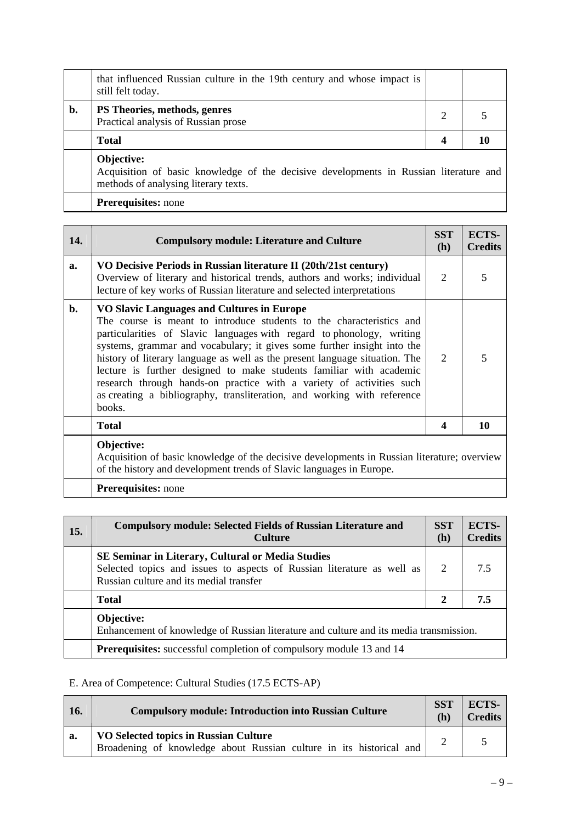|    | that influenced Russian culture in the 19th century and whose impact is<br>still felt today.        |  |
|----|-----------------------------------------------------------------------------------------------------|--|
| b. | PS Theories, methods, genres<br>Practical analysis of Russian prose                                 |  |
|    | <b>Total</b>                                                                                        |  |
|    | Objective:<br>Acquisition of basic knowledge of the decisive developments in Russian literature and |  |

methods of analysing literary texts.

**Prerequisites:** none

| 14.         | <b>Compulsory module: Literature and Culture</b>                                                                                                                                                                                                                                                                                                                                                                                                                                                                                                                                          | <b>SST</b><br>(h) | ECTS-<br><b>Credits</b> |
|-------------|-------------------------------------------------------------------------------------------------------------------------------------------------------------------------------------------------------------------------------------------------------------------------------------------------------------------------------------------------------------------------------------------------------------------------------------------------------------------------------------------------------------------------------------------------------------------------------------------|-------------------|-------------------------|
| $a_{\cdot}$ | VO Decisive Periods in Russian literature II (20th/21st century)<br>Overview of literary and historical trends, authors and works; individual<br>lecture of key works of Russian literature and selected interpretations                                                                                                                                                                                                                                                                                                                                                                  | $\overline{2}$    | 5                       |
| b.          | VO Slavic Languages and Cultures in Europe<br>The course is meant to introduce students to the characteristics and<br>particularities of Slavic languages with regard to phonology, writing<br>systems, grammar and vocabulary; it gives some further insight into the<br>history of literary language as well as the present language situation. The<br>lecture is further designed to make students familiar with academic<br>research through hands-on practice with a variety of activities such<br>as creating a bibliography, transliteration, and working with reference<br>books. | $\mathcal{D}$     | 5                       |
|             | <b>Total</b>                                                                                                                                                                                                                                                                                                                                                                                                                                                                                                                                                                              | 4                 | 10                      |
|             | Objective:<br>Acquisition of basic knowledge of the decisive developments in Russian literature; overview<br>of the history and development trends of Slavic languages in Europe.                                                                                                                                                                                                                                                                                                                                                                                                         |                   |                         |
|             | <b>Prerequisites:</b> none                                                                                                                                                                                                                                                                                                                                                                                                                                                                                                                                                                |                   |                         |

| 15. | <b>Compulsory module: Selected Fields of Russian Literature and</b><br><b>Culture</b>                                                                                         | <b>SST</b><br>(h) | <b>ECTS-</b><br><b>Credits</b> |
|-----|-------------------------------------------------------------------------------------------------------------------------------------------------------------------------------|-------------------|--------------------------------|
|     | <b>SE Seminar in Literary, Cultural or Media Studies</b><br>Selected topics and issues to aspects of Russian literature as well as<br>Russian culture and its medial transfer |                   | 75                             |
|     | <b>Total</b>                                                                                                                                                                  | $\mathbf{2}$      | 7.5                            |
|     | Objective:<br>Enhancement of knowledge of Russian literature and culture and its media transmission.                                                                          |                   |                                |
|     | <b>Prerequisites:</b> successful completion of compulsory module 13 and 14                                                                                                    |                   |                                |

# E. Area of Competence: Cultural Studies (17.5 ECTS-AP)

| <b>16.</b> | <b>Compulsory module: Introduction into Russian Culture</b>                                                  | <b>SST</b><br>(h) | <b>ECTS-</b><br><b>Credits</b> |
|------------|--------------------------------------------------------------------------------------------------------------|-------------------|--------------------------------|
| a.         | VO Selected topics in Russian Culture<br>Broadening of knowledge about Russian culture in its historical and |                   |                                |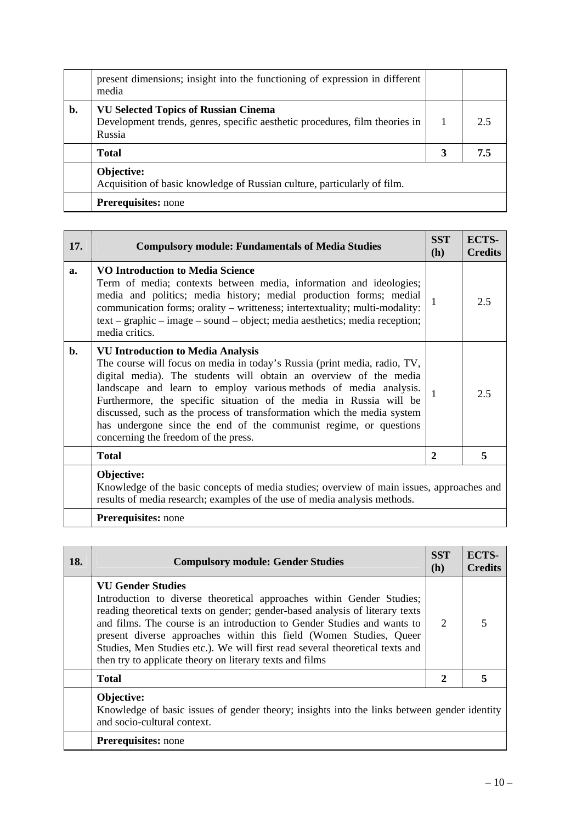|    | present dimensions; insight into the functioning of expression in different<br>media                                                 |   |     |
|----|--------------------------------------------------------------------------------------------------------------------------------------|---|-----|
| b. | <b>VU Selected Topics of Russian Cinema</b><br>Development trends, genres, specific aesthetic procedures, film theories in<br>Russia |   | 2.5 |
|    | <b>Total</b>                                                                                                                         | 3 | 7.5 |
|    | Objective:<br>Acquisition of basic knowledge of Russian culture, particularly of film.                                               |   |     |
|    | <b>Prerequisites:</b> none                                                                                                           |   |     |

| 17. | <b>Compulsory module: Fundamentals of Media Studies</b>                                                                                                                                                                                                                                                                                                                                                                                                                                                                      | <b>SST</b><br>(h) | ECTS-<br><b>Credits</b> |
|-----|------------------------------------------------------------------------------------------------------------------------------------------------------------------------------------------------------------------------------------------------------------------------------------------------------------------------------------------------------------------------------------------------------------------------------------------------------------------------------------------------------------------------------|-------------------|-------------------------|
| a.  | <b>VO Introduction to Media Science</b><br>Term of media; contexts between media, information and ideologies;<br>media and politics; media history; medial production forms; medial<br>communication forms; orality – writteness; intertextuality; multi-modality:<br>$text - graphic - image - sound - object$ ; media aesthetics; media reception;<br>media critics.                                                                                                                                                       |                   | 2.5                     |
| b.  | <b>VU Introduction to Media Analysis</b><br>The course will focus on media in today's Russia (print media, radio, TV,<br>digital media). The students will obtain an overview of the media<br>landscape and learn to employ various methods of media analysis.<br>Furthermore, the specific situation of the media in Russia will be<br>discussed, such as the process of transformation which the media system<br>has undergone since the end of the communist regime, or questions<br>concerning the freedom of the press. |                   | 2.5                     |
|     | <b>Total</b>                                                                                                                                                                                                                                                                                                                                                                                                                                                                                                                 | $\mathbf{2}$      | 5                       |
|     | Objective:<br>Knowledge of the basic concepts of media studies; overview of main issues, approaches and<br>results of media research; examples of the use of media analysis methods.                                                                                                                                                                                                                                                                                                                                         |                   |                         |
|     | Prerequisites: none                                                                                                                                                                                                                                                                                                                                                                                                                                                                                                          |                   |                         |

**18.** Compulsory module: Gender Studies **18.** SST **(h) ECTS-Credits VU Gender Studies**  Introduction to diverse theoretical approaches within Gender Studies; reading theoretical texts on gender; gender-based analysis of literary texts and films. The course is an introduction to Gender Studies and wants to present diverse approaches within this field (Women Studies, Queer Studies, Men Studies etc.). We will first read several theoretical texts and then try to applicate theory on literary texts and films 2 5 **Total** 2 3 3 **Objective:**  Knowledge of basic issues of gender theory; insights into the links between gender identity and socio-cultural context. **Prerequisites:** none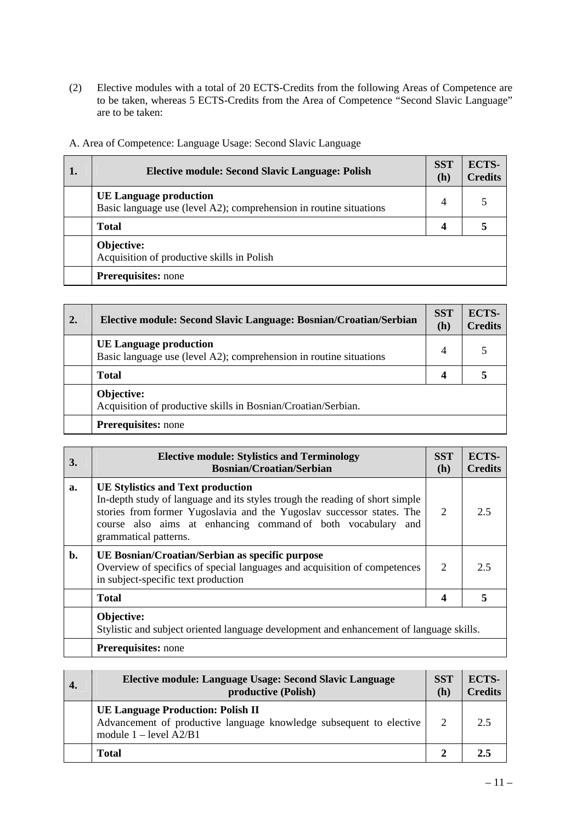(2) Elective modules with a total of 20 ECTS-Credits from the following Areas of Competence are to be taken, whereas 5 ECTS-Credits from the Area of Competence "Second Slavic Language" are to be taken:

| 1. | <b>Elective module: Second Slavic Language: Polish</b>                                              | <b>SST</b><br>(h) | ECTS-<br><b>Credits</b> |
|----|-----------------------------------------------------------------------------------------------------|-------------------|-------------------------|
|    | <b>UE Language production</b><br>Basic language use (level A2); comprehension in routine situations | $\overline{4}$    |                         |
|    | <b>Total</b>                                                                                        | 4                 |                         |
|    | Objective:<br>Acquisition of productive skills in Polish                                            |                   |                         |
|    | <b>Prerequisites:</b> none                                                                          |                   |                         |

A. Area of Competence: Language Usage: Second Slavic Language

| 2. | Elective module: Second Slavic Language: Bosnian/Croatian/Serbian                                   | <b>SST</b><br>(h) | ECTS-<br><b>Credits</b> |
|----|-----------------------------------------------------------------------------------------------------|-------------------|-------------------------|
|    | <b>UE Language production</b><br>Basic language use (level A2); comprehension in routine situations | 4                 |                         |
|    | <b>Total</b>                                                                                        | 4                 |                         |
|    | Objective:<br>Acquisition of productive skills in Bosnian/Croatian/Serbian.                         |                   |                         |
|    | <b>Prerequisites:</b> none                                                                          |                   |                         |

| 3.             | <b>Elective module: Stylistics and Terminology</b><br><b>Bosnian/Croatian/Serbian</b>                                                                                                                                                                                                      | <b>SST</b><br>(h) | ECTS-<br><b>Credits</b> |
|----------------|--------------------------------------------------------------------------------------------------------------------------------------------------------------------------------------------------------------------------------------------------------------------------------------------|-------------------|-------------------------|
| a.             | <b>UE Stylistics and Text production</b><br>In-depth study of language and its styles trough the reading of short simple<br>stories from former Yugoslavia and the Yugoslav successor states. The<br>course also aims at enhancing command of both vocabulary and<br>grammatical patterns. | 2                 | 2.5                     |
| $\mathbf{b}$ . | UE Bosnian/Croatian/Serbian as specific purpose<br>Overview of specifics of special languages and acquisition of competences<br>in subject-specific text production                                                                                                                        | $\overline{2}$    | 2.5                     |
|                | <b>Total</b>                                                                                                                                                                                                                                                                               | 4                 |                         |
|                | Objective:<br>Stylistic and subject oriented language development and enhancement of language skills.                                                                                                                                                                                      |                   |                         |
|                | <b>Prerequisites:</b> none                                                                                                                                                                                                                                                                 |                   |                         |

| Elective module: Language Usage: Second Slavic Language<br>productive (Polish)                                                              | <b>SST</b><br>(h) | <b>ECTS-</b><br><b>Credits</b> |
|---------------------------------------------------------------------------------------------------------------------------------------------|-------------------|--------------------------------|
| <b>UE Language Production: Polish II</b><br>Advancement of productive language knowledge subsequent to elective<br>module $1 - level A2/B1$ |                   | 2.5                            |
| <b>Total</b>                                                                                                                                |                   | 2.5                            |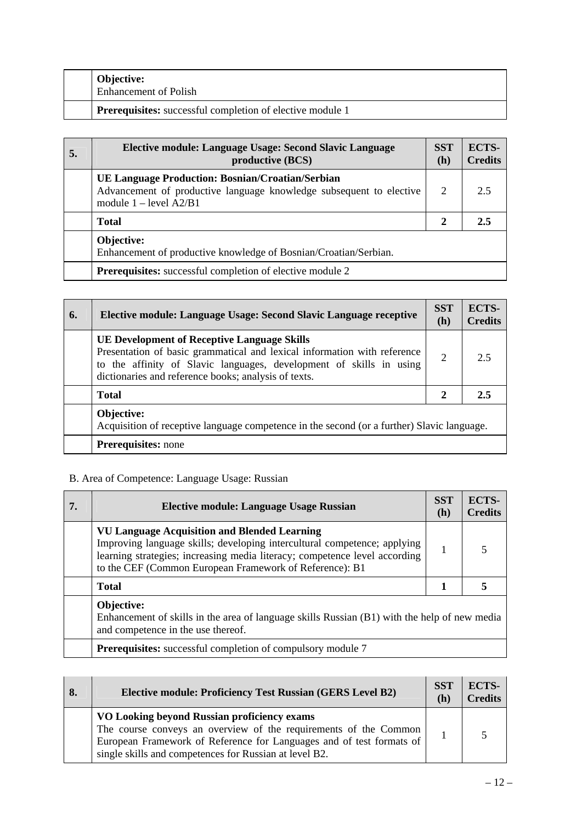| <b>Objective:</b><br><b>Enhancement of Polish</b>         |
|-----------------------------------------------------------|
| Prerequisites: successful completion of elective module 1 |

| 5. | Elective module: Language Usage: Second Slavic Language<br>productive (BCS)                                                                                | <b>SST</b><br>(h) | ECTS-<br><b>Credits</b> |
|----|------------------------------------------------------------------------------------------------------------------------------------------------------------|-------------------|-------------------------|
|    | <b>UE Language Production: Bosnian/Croatian/Serbian</b><br>Advancement of productive language knowledge subsequent to elective<br>module $1 - level A2/B1$ | 2                 | 2.5                     |
|    | <b>Total</b>                                                                                                                                               | 2                 | 2.5                     |
|    | Objective:<br>Enhancement of productive knowledge of Bosnian/Croatian/Serbian.                                                                             |                   |                         |
|    | <b>Prerequisites:</b> successful completion of elective module 2                                                                                           |                   |                         |

| 6. | Elective module: Language Usage: Second Slavic Language receptive                                                                                                                                                                                             | <b>SST</b><br>(h) | <b>ECTS-</b><br><b>Credits</b> |
|----|---------------------------------------------------------------------------------------------------------------------------------------------------------------------------------------------------------------------------------------------------------------|-------------------|--------------------------------|
|    | <b>UE Development of Receptive Language Skills</b><br>Presentation of basic grammatical and lexical information with reference<br>to the affinity of Slavic languages, development of skills in using<br>dictionaries and reference books; analysis of texts. | $\overline{2}$    | 2.5                            |
|    | <b>Total</b>                                                                                                                                                                                                                                                  | $\mathbf{2}$      | 2.5                            |
|    | Objective:<br>Acquisition of receptive language competence in the second (or a further) Slavic language.                                                                                                                                                      |                   |                                |
|    | <b>Prerequisites:</b> none                                                                                                                                                                                                                                    |                   |                                |

# B. Area of Competence: Language Usage: Russian

| 7. | <b>Elective module: Language Usage Russian</b>                                                                                                                                                                                                                           | <b>SST</b><br>(h) | <b>ECTS-</b><br><b>Credits</b> |
|----|--------------------------------------------------------------------------------------------------------------------------------------------------------------------------------------------------------------------------------------------------------------------------|-------------------|--------------------------------|
|    | <b>VU Language Acquisition and Blended Learning</b><br>Improving language skills; developing intercultural competence; applying<br>learning strategies; increasing media literacy; competence level according<br>to the CEF (Common European Framework of Reference): B1 |                   | 5                              |
|    | <b>Total</b>                                                                                                                                                                                                                                                             |                   |                                |
|    | Objective:<br>Enhancement of skills in the area of language skills Russian (B1) with the help of new media<br>and competence in the use thereof.                                                                                                                         |                   |                                |
|    | <b>Prerequisites:</b> successful completion of compulsory module 7                                                                                                                                                                                                       |                   |                                |

| 8. | <b>Elective module: Proficiency Test Russian (GERS Level B2)</b>                                                                                                                                                                                  | <b>SST</b><br>(h) | ECTS-<br><b>Credits</b> |
|----|---------------------------------------------------------------------------------------------------------------------------------------------------------------------------------------------------------------------------------------------------|-------------------|-------------------------|
|    | VO Looking beyond Russian proficiency exams<br>The course conveys an overview of the requirements of the Common<br>European Framework of Reference for Languages and of test formats of<br>single skills and competences for Russian at level B2. |                   |                         |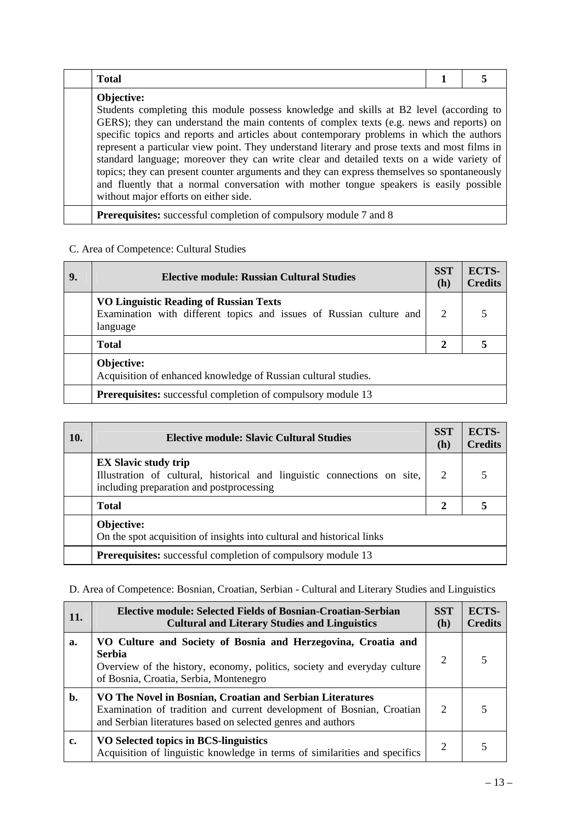| <b>Total</b>                                                                                                                                                                                                                                                                                                                                                                                                                                                                                                                                                                                                                                                                                                                 |  |
|------------------------------------------------------------------------------------------------------------------------------------------------------------------------------------------------------------------------------------------------------------------------------------------------------------------------------------------------------------------------------------------------------------------------------------------------------------------------------------------------------------------------------------------------------------------------------------------------------------------------------------------------------------------------------------------------------------------------------|--|
| Objective:<br>Students completing this module possess knowledge and skills at B2 level (according to<br>GERS); they can understand the main contents of complex texts (e.g. news and reports) on<br>specific topics and reports and articles about contemporary problems in which the authors<br>represent a particular view point. They understand literary and prose texts and most films in<br>standard language; moreover they can write clear and detailed texts on a wide variety of<br>topics; they can present counter arguments and they can express themselves so spontaneously<br>and fluently that a normal conversation with mother tongue speakers is easily possible<br>without major efforts on either side. |  |
| <b>Prerequisites:</b> successful completion of compulsory module 7 and 8                                                                                                                                                                                                                                                                                                                                                                                                                                                                                                                                                                                                                                                     |  |

# C. Area of Competence: Cultural Studies

| 9. | Elective module: Russian Cultural Studies                                                                                        | <b>SST</b><br>(h)           | ECTS-<br><b>Credits</b> |
|----|----------------------------------------------------------------------------------------------------------------------------------|-----------------------------|-------------------------|
|    | <b>VO Linguistic Reading of Russian Texts</b><br>Examination with different topics and issues of Russian culture and<br>language | $\mathcal{D}_{\mathcal{L}}$ |                         |
|    | <b>Total</b>                                                                                                                     | $\mathbf{2}$                |                         |
|    | Objective:<br>Acquisition of enhanced knowledge of Russian cultural studies.                                                     |                             |                         |
|    | <b>Prerequisites:</b> successful completion of compulsory module 13                                                              |                             |                         |

| 10. | <b>Elective module: Slavic Cultural Studies</b>                                                                                                     | <b>SST</b><br>(h) | <b>ECTS-</b><br><b>Credits</b> |
|-----|-----------------------------------------------------------------------------------------------------------------------------------------------------|-------------------|--------------------------------|
|     | <b>EX Slavic study trip</b><br>Illustration of cultural, historical and linguistic connections on site,<br>including preparation and postprocessing | 2                 |                                |
|     | <b>Total</b>                                                                                                                                        | $\mathbf{2}$      |                                |
|     | Objective:<br>On the spot acquisition of insights into cultural and historical links                                                                |                   |                                |
|     | <b>Prerequisites:</b> successful completion of compulsory module 13                                                                                 |                   |                                |

# D. Area of Competence: Bosnian, Croatian, Serbian - Cultural and Literary Studies and Linguistics

| 11. | Elective module: Selected Fields of Bosnian-Croatian-Serbian<br><b>Cultural and Literary Studies and Linguistics</b>                                                                                 | <b>SST</b><br>(h) | ECTS-<br><b>Credits</b> |
|-----|------------------------------------------------------------------------------------------------------------------------------------------------------------------------------------------------------|-------------------|-------------------------|
| a.  | VO Culture and Society of Bosnia and Herzegovina, Croatia and<br><b>Serbia</b><br>Overview of the history, economy, politics, society and everyday culture<br>of Bosnia, Croatia, Serbia, Montenegro | $\overline{2}$    |                         |
| b.  | VO The Novel in Bosnian, Croatian and Serbian Literatures<br>Examination of tradition and current development of Bosnian, Croatian<br>and Serbian literatures based on selected genres and authors   | 2                 |                         |
| c.  | VO Selected topics in BCS-linguistics<br>Acquisition of linguistic knowledge in terms of similarities and specifics                                                                                  | 2                 |                         |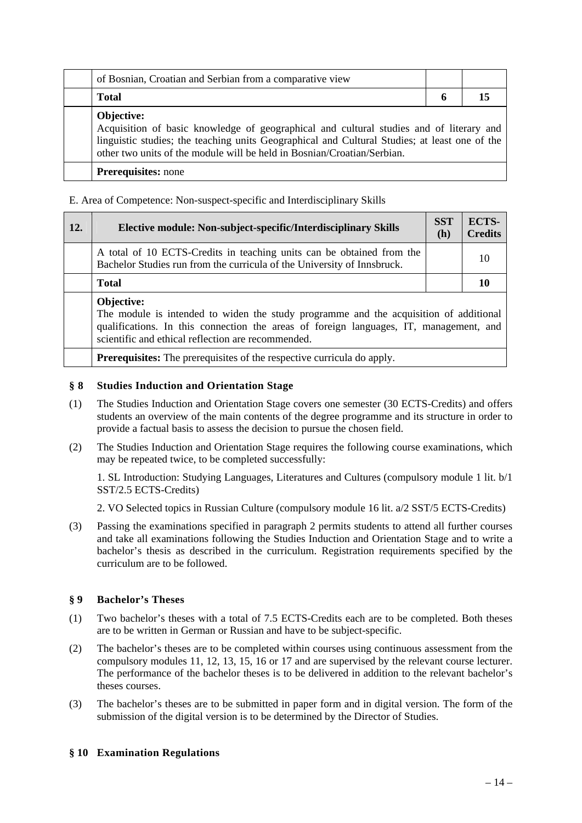| of Bosnian, Croatian and Serbian from a comparative view                                                                                                                                                                                                                          |   |  |
|-----------------------------------------------------------------------------------------------------------------------------------------------------------------------------------------------------------------------------------------------------------------------------------|---|--|
| <b>Total</b>                                                                                                                                                                                                                                                                      | O |  |
| Objective:<br>Acquisition of basic knowledge of geographical and cultural studies and of literary and<br>linguistic studies; the teaching units Geographical and Cultural Studies; at least one of the<br>other two units of the module will be held in Bosnian/Croatian/Serbian. |   |  |
| <b>Prerequisites:</b> none                                                                                                                                                                                                                                                        |   |  |

### E. Area of Competence: Non-suspect-specific and Interdisciplinary Skills

| <b>12.</b> | Elective module: Non-subject-specific/Interdisciplinary Skills                                                                                                                                                                                      | <b>SST</b><br>(h) | <b>ECTS-</b><br><b>Credits</b> |
|------------|-----------------------------------------------------------------------------------------------------------------------------------------------------------------------------------------------------------------------------------------------------|-------------------|--------------------------------|
|            | A total of 10 ECTS-Credits in teaching units can be obtained from the<br>Bachelor Studies run from the curricula of the University of Innsbruck.                                                                                                    |                   | 10                             |
|            | Total                                                                                                                                                                                                                                               |                   | 10                             |
|            | Objective:<br>The module is intended to widen the study programme and the acquisition of additional<br>qualifications. In this connection the areas of foreign languages, IT, management, and<br>scientific and ethical reflection are recommended. |                   |                                |
|            | <b>Prerequisites:</b> The prerequisites of the respective curricula do apply.                                                                                                                                                                       |                   |                                |

### **§ 8 Studies Induction and Orientation Stage**

- (1) The Studies Induction and Orientation Stage covers one semester (30 ECTS-Credits) and offers students an overview of the main contents of the degree programme and its structure in order to provide a factual basis to assess the decision to pursue the chosen field.
- (2) The Studies Induction and Orientation Stage requires the following course examinations, which may be repeated twice, to be completed successfully:

 1. SL Introduction: Studying Languages, Literatures and Cultures (compulsory module 1 lit. b/1 SST/2.5 ECTS-Credits)

2. VO Selected topics in Russian Culture (compulsory module 16 lit. a/2 SST/5 ECTS-Credits)

(3) Passing the examinations specified in paragraph 2 permits students to attend all further courses and take all examinations following the Studies Induction and Orientation Stage and to write a bachelor's thesis as described in the curriculum. Registration requirements specified by the curriculum are to be followed.

### **§ 9 Bachelor's Theses**

- (1) Two bachelor's theses with a total of 7.5 ECTS-Credits each are to be completed. Both theses are to be written in German or Russian and have to be subject-specific.
- (2) The bachelor's theses are to be completed within courses using continuous assessment from the compulsory modules 11, 12, 13, 15, 16 or 17 and are supervised by the relevant course lecturer. The performance of the bachelor theses is to be delivered in addition to the relevant bachelor's theses courses.
- (3) The bachelor's theses are to be submitted in paper form and in digital version. The form of the submission of the digital version is to be determined by the Director of Studies.

### **§ 10 Examination Regulations**